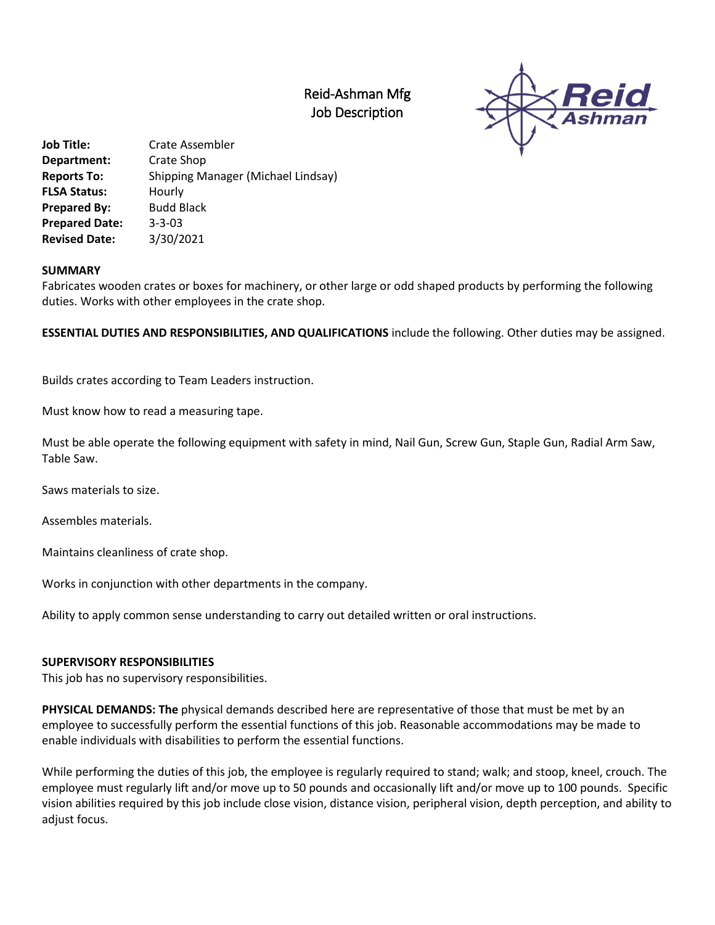## Reid-Ashman Mfg Job Description



**Job Title:** Crate Assembler **Department:** Crate Shop **Reports To:** Shipping Manager (Michael Lindsay) **FLSA Status:** Hourly **Prepared By:** Budd Black **Prepared Date:** 3-3-03 **Revised Date:** 3/30/2021

## **SUMMARY**

Fabricates wooden crates or boxes for machinery, or other large or odd shaped products by performing the following duties. Works with other employees in the crate shop.

**ESSENTIAL DUTIES AND RESPONSIBILITIES, AND QUALIFICATIONS** include the following. Other duties may be assigned.

Builds crates according to Team Leaders instruction.

Must know how to read a measuring tape.

Must be able operate the following equipment with safety in mind, Nail Gun, Screw Gun, Staple Gun, Radial Arm Saw, Table Saw.

Saws materials to size.

Assembles materials.

Maintains cleanliness of crate shop.

Works in conjunction with other departments in the company.

Ability to apply common sense understanding to carry out detailed written or oral instructions.

## **SUPERVISORY RESPONSIBILITIES**

This job has no supervisory responsibilities.

**PHYSICAL DEMANDS: The** physical demands described here are representative of those that must be met by an employee to successfully perform the essential functions of this job. Reasonable accommodations may be made to enable individuals with disabilities to perform the essential functions.

While performing the duties of this job, the employee is regularly required to stand; walk; and stoop, kneel, crouch. The employee must regularly lift and/or move up to 50 pounds and occasionally lift and/or move up to 100 pounds. Specific vision abilities required by this job include close vision, distance vision, peripheral vision, depth perception, and ability to adjust focus.